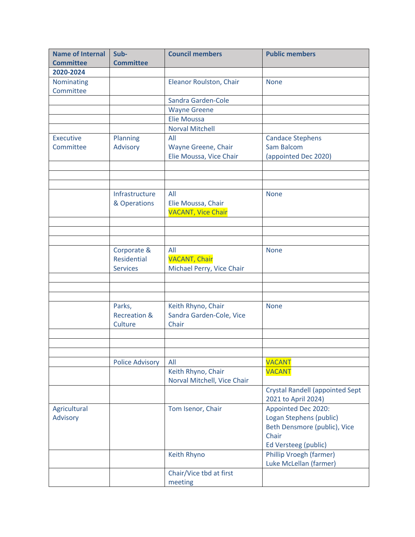| <b>Name of Internal</b> | Sub-                    | <b>Council members</b>      | <b>Public members</b>                      |
|-------------------------|-------------------------|-----------------------------|--------------------------------------------|
| <b>Committee</b>        | <b>Committee</b>        |                             |                                            |
| 2020-2024               |                         |                             |                                            |
| Nominating              |                         | Eleanor Roulston, Chair     | <b>None</b>                                |
| Committee               |                         |                             |                                            |
|                         |                         | Sandra Garden-Cole          |                                            |
|                         |                         | <b>Wayne Greene</b>         |                                            |
|                         |                         | Elie Moussa                 |                                            |
|                         |                         | <b>Norval Mitchell</b>      |                                            |
| <b>Executive</b>        | Planning                | All                         | <b>Candace Stephens</b>                    |
| Committee               | Advisory                | Wayne Greene, Chair         | Sam Balcom                                 |
|                         |                         | Elie Moussa, Vice Chair     | (appointed Dec 2020)                       |
|                         |                         |                             |                                            |
|                         |                         |                             |                                            |
|                         |                         |                             |                                            |
|                         | Infrastructure          | All                         | <b>None</b>                                |
|                         | & Operations            | Elie Moussa, Chair          |                                            |
|                         |                         | <b>VACANT, Vice Chair</b>   |                                            |
|                         |                         |                             |                                            |
|                         |                         |                             |                                            |
|                         |                         |                             |                                            |
|                         | Corporate &             | All                         | <b>None</b>                                |
|                         | Residential             | <b>VACANT, Chair</b>        |                                            |
|                         | <b>Services</b>         | Michael Perry, Vice Chair   |                                            |
|                         |                         |                             |                                            |
|                         |                         |                             |                                            |
|                         |                         |                             |                                            |
|                         | Parks,                  | Keith Rhyno, Chair          | <b>None</b>                                |
|                         | <b>Recreation &amp;</b> | Sandra Garden-Cole, Vice    |                                            |
|                         | Culture                 | Chair                       |                                            |
|                         |                         |                             |                                            |
|                         |                         |                             |                                            |
|                         |                         |                             |                                            |
|                         | <b>Police Advisory</b>  | All                         | <b>VACANT</b>                              |
|                         |                         | Keith Rhyno, Chair          | <b>VACANT</b>                              |
|                         |                         | Norval Mitchell, Vice Chair |                                            |
|                         |                         |                             | <b>Crystal Randell (appointed Sept</b>     |
| Agricultural            |                         | Tom Isenor, Chair           | 2021 to April 2024)<br>Appointed Dec 2020: |
| Advisory                |                         |                             | Logan Stephens (public)                    |
|                         |                         |                             | Beth Densmore (public), Vice               |
|                         |                         |                             | Chair                                      |
|                         |                         |                             | Ed Versteeg (public)                       |
|                         |                         |                             | <b>Phillip Vroegh (farmer)</b>             |
|                         |                         | Keith Rhyno                 | Luke McLellan (farmer)                     |
|                         |                         |                             |                                            |
|                         |                         | Chair/Vice tbd at first     |                                            |
|                         |                         | meeting                     |                                            |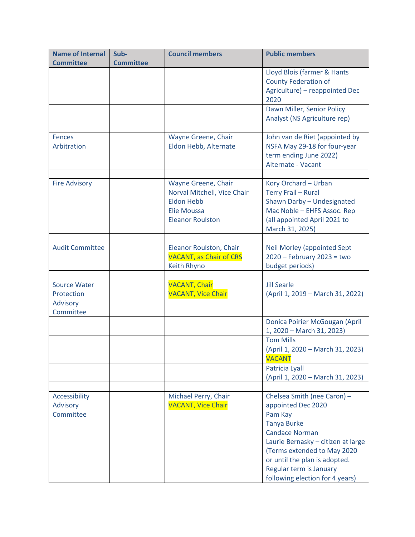| <b>Name of Internal</b><br><b>Committee</b>                | Sub-<br><b>Committee</b> | <b>Council members</b>                                                                                            | <b>Public members</b>                                                                                                                                                                                                                                                                                               |
|------------------------------------------------------------|--------------------------|-------------------------------------------------------------------------------------------------------------------|---------------------------------------------------------------------------------------------------------------------------------------------------------------------------------------------------------------------------------------------------------------------------------------------------------------------|
|                                                            |                          |                                                                                                                   | Lloyd Blois (farmer & Hants<br><b>County Federation of</b><br>Agriculture) - reappointed Dec<br>2020                                                                                                                                                                                                                |
|                                                            |                          |                                                                                                                   | Dawn Miller, Senior Policy<br>Analyst (NS Agriculture rep)                                                                                                                                                                                                                                                          |
| <b>Fences</b><br>Arbitration                               |                          | Wayne Greene, Chair<br>Eldon Hebb, Alternate                                                                      | John van de Riet (appointed by<br>NSFA May 29-18 for four-year<br>term ending June 2022)<br>Alternate - Vacant                                                                                                                                                                                                      |
| <b>Fire Advisory</b>                                       |                          | Wayne Greene, Chair<br>Norval Mitchell, Vice Chair<br><b>Eldon Hebb</b><br>Elie Moussa<br><b>Eleanor Roulston</b> | Kory Orchard - Urban<br>Terry Frail - Rural<br>Shawn Darby - Undesignated<br>Mac Noble - EHFS Assoc. Rep<br>(all appointed April 2021 to<br>March 31, 2025)                                                                                                                                                         |
| <b>Audit Committee</b>                                     |                          | Eleanor Roulston, Chair<br><b>VACANT, as Chair of CRS</b><br>Keith Rhyno                                          | <b>Neil Morley (appointed Sept</b><br>$2020$ - February 2023 = two<br>budget periods)                                                                                                                                                                                                                               |
| <b>Source Water</b><br>Protection<br>Advisory<br>Committee |                          | <b>VACANT, Chair</b><br><b>VACANT, Vice Chair</b>                                                                 | <b>Jill Searle</b><br>(April 1, 2019 - March 31, 2022)                                                                                                                                                                                                                                                              |
|                                                            |                          |                                                                                                                   | Donica Poirier McGougan (April<br>1, 2020 - March 31, 2023)<br><b>Tom Mills</b><br>(April 1, 2020 - March 31, 2023)<br><b>VACANT</b><br>Patricia Lyall                                                                                                                                                              |
| Accessibility<br>Advisory<br>Committee                     |                          | Michael Perry, Chair<br><b>VACANT, Vice Chair</b>                                                                 | (April 1, 2020 - March 31, 2023)<br>Chelsea Smith (nee Caron) -<br>appointed Dec 2020<br>Pam Kay<br><b>Tanya Burke</b><br><b>Candace Norman</b><br>Laurie Bernasky - citizen at large<br>(Terms extended to May 2020<br>or until the plan is adopted.<br>Regular term is January<br>following election for 4 years) |